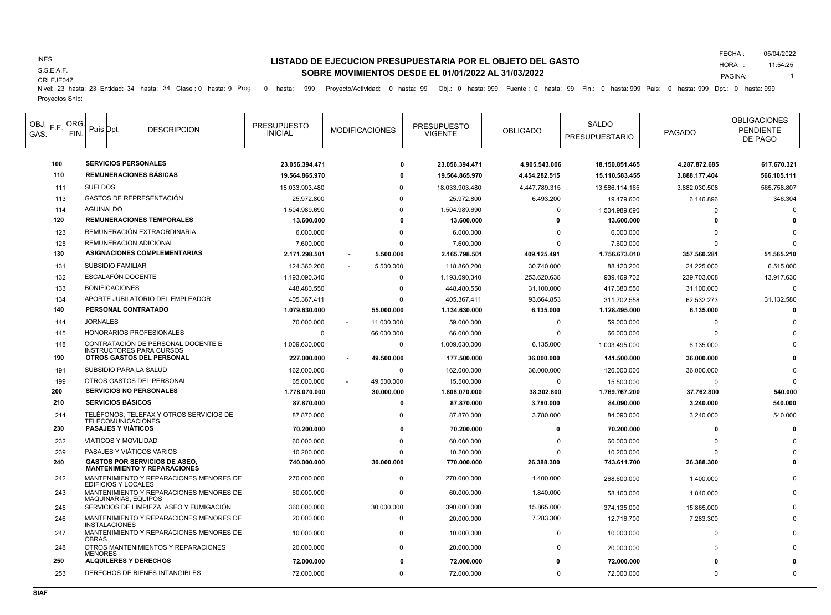## INES

S.S.E.A.F.

### CRLEJE04Z

# **LISTADO DE EJECUCION PRESUPUESTARIA POR EL OBJETO DEL GASTO SOBRE MOVIMIENTOS DESDE EL 01/01/2022 AL 31/03/2022**

FECHA : HORA : 05/04/2022 11:54:25

PAGINA: 1

Nivel: 23 hasta: 23 Entidad: 34 hasta: 34 Clase : 0 hasta: 9 Prog.: 0 hasta: 999 Proyecto/Actividad: 0 hasta: 99 Obj.: 0 hasta: 999 Fuente : 0 hasta: 99 Fin.: 0 hasta: 999 País: 0 hasta: 999 Dpt.: 0 hasta: 999 Proyectos Snip:

| OBJ.<br>GAS | F.F. | ORG.<br>FIN. | País Dpt                   | <b>DESCRIPCION</b>                                                          | <b>PRESUPUESTO</b><br><b>INICIAL</b> | <b>MODIFICACIONES</b> | <b>PRESUPUESTO</b><br><b>VIGENTE</b> | <b>OBLIGADO</b> | SALDO<br><b>PRESUPUESTARIO</b> | <b>PAGADO</b> | <b>OBLIGACIONES</b><br><b>PENDIENTE</b><br>DE PAGO |
|-------------|------|--------------|----------------------------|-----------------------------------------------------------------------------|--------------------------------------|-----------------------|--------------------------------------|-----------------|--------------------------------|---------------|----------------------------------------------------|
|             | 100  |              |                            | <b>SERVICIOS PERSONALES</b>                                                 | 23.056.394.471                       | 0                     | 23.056.394.471                       | 4.905.543.006   | 18.150.851.465                 | 4.287.872.685 | 617.670.321                                        |
|             | 110  |              |                            | <b>REMUNERACIONES BÁSICAS</b>                                               | 19.564.865.970                       | o                     | 19.564.865.970                       | 4.454.282.515   | 15.110.583.455                 | 3.888.177.404 | 566.105.111                                        |
|             | 111  |              | <b>SUELDOS</b>             |                                                                             | 18.033.903.480                       | ŋ                     | 18.033.903.480                       | 4.447.789.315   | 13.586.114.165                 | 3.882.030.508 | 565.758.807                                        |
|             | 113  |              |                            | <b>GASTOS DE REPRESENTACIÓN</b>                                             | 25.972.800                           | $\Omega$              | 25.972.800                           | 6.493.200       | 19.479.600                     | 6.146.896     | 346.304                                            |
|             | 114  |              | <b>AGUINALDO</b>           |                                                                             | 1.504.989.690                        | $\Omega$              | 1.504.989.690                        | $\Omega$        | 1.504.989.690                  | $\Omega$      | $\Omega$                                           |
|             | 120  |              |                            | <b>REMUNERACIONES TEMPORALES</b>                                            | 13.600.000                           | 0                     | 13.600.000                           | 0               | 13.600.000                     | $\Omega$      |                                                    |
|             | 123  |              |                            | REMUNERACIÓN EXTRAORDINARIA                                                 | 6.000.000                            | $\Omega$              | 6.000.000                            | 0               | 6.000.000                      | $\Omega$      |                                                    |
|             | 125  |              |                            | <b>REMUNERACION ADICIONAL</b>                                               | 7.600.000                            | <sup>0</sup>          | 7.600.000                            | $\Omega$        | 7.600.000                      | $\Omega$      | n                                                  |
|             | 130  |              |                            | ASIGNACIONES COMPLEMENTARIAS                                                | 2.171.298.501                        | 5.500.000             | 2.165.798.501                        | 409.125.491     | 1.756.673.010                  | 357.560.281   | 51.565.210                                         |
|             | 131  |              | <b>SUBSIDIO FAMILIAR</b>   |                                                                             | 124.360.200                          | 5.500.000             | 118.860.200                          | 30.740.000      | 88.120.200                     | 24.225.000    | 6.515.000                                          |
|             | 132  |              |                            | ESCALAFÓN DOCENTE                                                           | 1.193.090.340                        | 0                     | 1.193.090.340                        | 253.620.638     | 939.469.702                    | 239.703.008   | 13.917.630                                         |
|             | 133  |              | <b>BONIFICACIONES</b>      |                                                                             | 448.480.550                          | $\Omega$              | 448.480.550                          | 31.100.000      | 417.380.550                    | 31.100.000    | $\Omega$                                           |
|             | 134  |              |                            | APORTE JUBILATORIO DEL EMPLEADOR                                            | 405.367.411                          | $\Omega$              | 405.367.411                          | 93.664.853      | 311.702.558                    | 62.532.273    | 31.132.580                                         |
|             | 140  |              |                            | PERSONAL CONTRATADO                                                         | 1.079.630.000                        | 55.000.000            | 1.134.630.000                        | 6.135.000       | 1.128.495.000                  | 6.135.000     | $\Omega$                                           |
|             | 144  |              | <b>JORNALES</b>            |                                                                             | 70.000.000                           | 11.000.000<br>٠       | 59.000.000                           | $\mathbf 0$     | 59.000.000                     | $\Omega$      |                                                    |
|             | 145  |              |                            | HONORARIOS PROFESIONALES                                                    | $\Omega$                             | 66.000.000            | 66.000.000                           | 0               | 66.000.000                     | $\Omega$      |                                                    |
|             | 148  |              |                            | CONTRATACIÓN DE PERSONAL DOCENTE E<br><b>INSTRUCTORES PARA CURSOS</b>       | 1.009.630.000                        | $\mathbf 0$           | 1.009.630.000                        | 6.135.000       | 1.003.495.000                  | 6.135.000     |                                                    |
|             | 190  |              |                            | <b>OTROS GASTOS DEL PERSONAL</b>                                            | 227.000.000                          | 49.500.000            | 177.500.000                          | 36.000.000      | 141.500.000                    | 36.000.000    |                                                    |
|             | 191  |              |                            | SUBSIDIO PARA LA SALUD                                                      | 162.000.000                          | 0                     | 162.000.000                          | 36.000.000      | 126.000.000                    | 36.000.000    |                                                    |
|             | 199  |              |                            | OTROS GASTOS DEL PERSONAL                                                   | 65.000.000                           | 49.500.000            | 15.500.000                           | $\mathbf 0$     | 15.500.000                     | $\Omega$      | $\Omega$                                           |
|             | 200  |              |                            | <b>SERVICIOS NO PERSONALES</b>                                              | 1.778.070.000                        | 30.000.000            | 1.808.070.000                        | 38.302.800      | 1.769.767.200                  | 37.762.800    | 540.000                                            |
|             | 210  |              | <b>SERVICIOS BÁSICOS</b>   |                                                                             | 87.870.000                           | $\mathbf 0$           | 87.870.000                           | 3.780.000       | 84.090.000                     | 3.240.000     | 540.000                                            |
|             | 214  |              |                            | TELÉFONOS, TELEFAX Y OTROS SERVICIOS DE<br><b>TELECOMUNICACIONES</b>        | 87.870.000                           | $\Omega$              | 87.870.000                           | 3.780.000       | 84.090.000                     | 3.240.000     | 540.000                                            |
|             | 230  |              | <b>PASAJES Y VIÁTICOS</b>  |                                                                             | 70.200.000                           | $\mathbf{0}$          | 70.200.000                           | 0               | 70.200.000                     | $\Omega$      |                                                    |
|             | 232  |              |                            | <b>VIÁTICOS Y MOVILIDAD</b>                                                 | 60.000.000                           | 0                     | 60.000.000                           | $\Omega$        | 60.000.000                     | $\Omega$      |                                                    |
|             | 239  |              |                            | PASAJES Y VIÁTICOS VARIOS                                                   | 10.200.000                           | $\Omega$              | 10.200.000                           | $\Omega$        | 10.200.000                     |               |                                                    |
|             | 240  |              |                            | <b>GASTOS POR SERVICIOS DE ASEO,</b><br><b>MANTENIMIENTO Y REPARACIONES</b> | 740.000.000                          | 30.000.000            | 770.000.000                          | 26.388.300      | 743.611.700                    | 26.388.300    |                                                    |
|             | 242  |              | <b>EDIFICIOS Y LOCALES</b> | MANTENIMIENTO Y REPARACIONES MENORES DE                                     | 270.000.000                          | $\mathbf 0$           | 270.000.000                          | 1.400.000       | 268.600.000                    | 1.400.000     |                                                    |
|             | 243  |              |                            | MANTENIMIENTO Y REPARACIONES MENORES DE<br>MAQUINARIAS, EQUIPOS             | 60.000.000                           | $\mathbf 0$           | 60.000.000                           | 1.840.000       | 58.160.000                     | 1.840.000     |                                                    |
|             | 245  |              |                            | SERVICIOS DE LIMPIEZA, ASEO Y FUMIGACIÓN                                    | 360.000.000                          | 30.000.000            | 390.000.000                          | 15.865.000      | 374.135.000                    | 15.865.000    |                                                    |
|             | 246  |              | <b>INSTALACIONES</b>       | MANTENIMIENTO Y REPARACIONES MENORES DE                                     | 20.000.000                           | $\mathbf 0$           | 20.000.000                           | 7.283.300       | 12.716.700                     | 7.283.300     |                                                    |
|             | 247  |              | <b>OBRAS</b>               | MANTENIMIENTO Y REPARACIONES MENORES DE                                     | 10.000.000                           | 0                     | 10.000.000                           | $\mathbf 0$     | 10.000.000                     | $\Omega$      |                                                    |
|             | 248  |              | <b>MENORES</b>             | OTROS MANTENIMIENTOS Y REPARACIONES                                         | 20.000.000                           | $\mathbf 0$           | 20.000.000                           | $\Omega$        | 20.000.000                     | $\Omega$      |                                                    |
|             | 250  |              |                            | <b>ALQUILERES Y DERECHOS</b>                                                | 72.000.000                           | O                     | 72.000.000                           | 0               | 72.000.000                     |               |                                                    |
|             | 253  |              |                            | DERECHOS DE BIENES INTANGIBLES                                              | 72.000.000                           | $\Omega$              | 72.000.000                           | $\Omega$        | 72.000.000                     | $\Omega$      | $\Omega$                                           |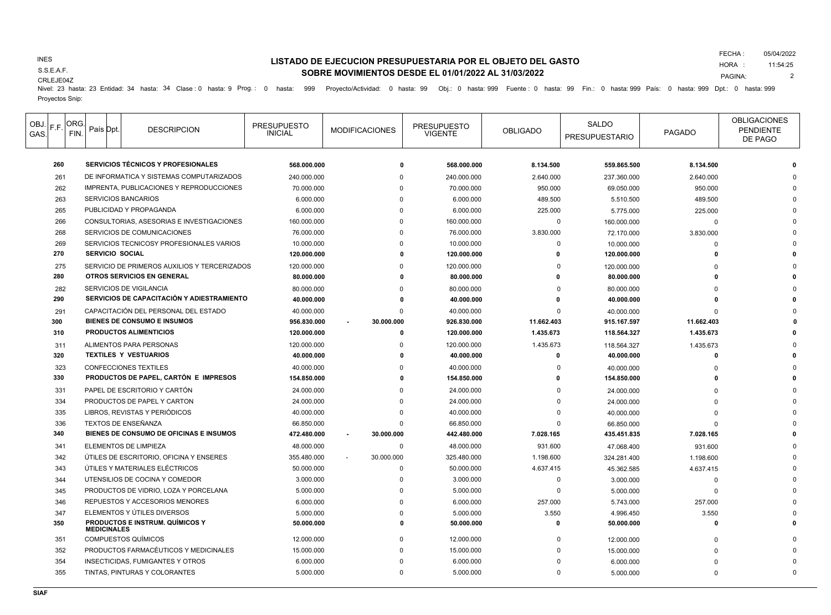## INES

S.S.E.A.F.

# **LISTADO DE EJECUCION PRESUPUESTARIA POR EL OBJETO DEL GASTO SOBRE MOVIMIENTOS DESDE EL 01/01/2022 AL 31/03/2022**

FECHA : 05/04/2022

HORA : PAGINA: 11:54:25 2

CRLEJE04Z

Nivel: 23 hasta: 23 Entidad: 34 hasta: 34 Clase : 0 hasta: 9 Prog.: 0 hasta: 999 Proyecto/Actividad: 0 hasta: 99 Obj.: 0 hasta: 999 Fuente : 0 hasta: 99 Fin.: 0 hasta: 999 País: 0 hasta: 999 Dpt.: 0 hasta: 999 Proyectos Snip:

| OBJ.<br>GAS. | IF.F. | ORG.<br>FIN. |                                                              | País Dpt. | <b>DESCRIPCION</b>                         | <b>PRESUPUESTO</b><br><b>INICIAL</b> | <b>MODIFICACIONES</b> | <b>PRESUPUESTO</b><br><b>VIGENTE</b> | <b>OBLIGADO</b> | SALDO<br><b>PRESUPUESTARIO</b> | PAGADO     | <b>OBLIGACIONES</b><br><b>PENDIENTE</b><br>DE PAGO |
|--------------|-------|--------------|--------------------------------------------------------------|-----------|--------------------------------------------|--------------------------------------|-----------------------|--------------------------------------|-----------------|--------------------------------|------------|----------------------------------------------------|
|              | 260   |              | <b>SERVICIOS TÉCNICOS Y PROFESIONALES</b>                    |           |                                            | 568.000.000                          | $\Omega$              | 568,000,000                          | 8.134.500       | 559.865.500                    | 8.134.500  |                                                    |
|              | 261   |              | DE INFORMATICA Y SISTEMAS COMPUTARIZADOS                     |           |                                            | 240.000.000                          |                       | 240.000.000                          | 2.640.000       | 237.360.000                    | 2.640.000  |                                                    |
|              | 262   |              |                                                              |           | IMPRENTA, PUBLICACIONES Y REPRODUCCIONES   | 70.000.000                           |                       | 70.000.000                           | 950.000         | 69.050.000                     | 950.000    |                                                    |
|              | 263   |              |                                                              |           | SERVICIOS BANCARIOS                        | 6.000.000                            |                       | 6.000.000                            | 489.500         | 5.510.500                      | 489.500    |                                                    |
|              | 265   |              |                                                              |           | PUBLICIDAD Y PROPAGANDA                    | 6.000.000                            | $\Omega$              | 6.000.000                            | 225.000         | 5.775.000                      | 225.000    |                                                    |
|              | 266   |              |                                                              |           | CONSULTORIAS, ASESORIAS E INVESTIGACIONES  | 160.000.000                          |                       | 160.000.000                          | $\Omega$        | 160.000.000                    | $\Omega$   |                                                    |
|              | 268   |              |                                                              |           | SERVICIOS DE COMUNICACIONES                | 76.000.000                           |                       | 76.000.000                           | 3.830.000       | 72.170.000                     | 3.830.000  |                                                    |
|              | 269   |              |                                                              |           | SERVICIOS TECNICOSY PROFESIONALES VARIOS   | 10.000.000                           |                       | 10.000.000                           | $\Omega$        | 10.000.000                     | $\Omega$   |                                                    |
|              | 270   |              |                                                              |           | <b>SERVICIO SOCIAL</b>                     | 120.000.000                          | n                     | 120.000.000                          | $\Omega$        | 120.000.000                    | n          |                                                    |
|              | 275   |              | SERVICIO DE PRIMEROS AUXILIOS Y TERCERIZADOS                 |           |                                            | 120.000.000                          |                       | 120.000.000                          | $\Omega$        | 120.000.000                    |            |                                                    |
|              | 280   |              | OTROS SERVICIOS EN GENERAL                                   |           |                                            | 80.000.000                           | O                     | 80.000.000                           | O               | 80.000.000                     |            |                                                    |
|              | 282   |              | SERVICIOS DE VIGILANCIA                                      |           |                                            | 80.000.000                           |                       | 80.000.000                           | $\Omega$        | 80.000.000                     |            |                                                    |
|              | 290   |              |                                                              |           | SERVICIOS DE CAPACITACIÓN Y ADIESTRAMIENTO | 40.000.000                           | $\mathbf 0$           | 40.000.000                           | O               | 40.000.000                     |            |                                                    |
|              | 291   |              |                                                              |           | CAPACITACIÓN DEL PERSONAL DEL ESTADO       | 40.000.000                           | $\Omega$              | 40.000.000                           | $\Omega$        | 40.000.000                     | $\Omega$   |                                                    |
|              | 300   |              |                                                              |           | <b>BIENES DE CONSUMO E INSUMOS</b>         | 956.830.000                          | 30.000.000            | 926.830.000                          | 11.662.403      | 915.167.597                    | 11.662.403 |                                                    |
|              | 310   |              |                                                              |           | <b>PRODUCTOS ALIMENTICIOS</b>              | 120.000.000                          | $\mathbf{0}$          | 120.000.000                          | 1.435.673       | 118.564.327                    | 1.435.673  |                                                    |
|              | 311   |              |                                                              |           | ALIMENTOS PARA PERSONAS                    | 120.000.000                          | $\Omega$              | 120.000.000                          | 1.435.673       | 118.564.327                    | 1.435.673  |                                                    |
|              | 320   |              |                                                              |           | <b>TEXTILES Y VESTUARIOS</b>               | 40.000.000                           | 0                     | 40.000.000                           | 0               | 40.000.000                     |            |                                                    |
|              | 323   |              |                                                              |           | <b>CONFECCIONES TEXTILES</b>               | 40.000.000                           |                       | 40.000.000                           | $\Omega$        | 40.000.000                     |            |                                                    |
|              | 330   |              |                                                              |           | PRODUCTOS DE PAPEL, CARTÓN E IMPRESOS      | 154.850.000                          | n                     | 154.850.000                          | n               | 154.850.000                    |            |                                                    |
|              | 331   |              |                                                              |           | PAPEL DE ESCRITORIO Y CARTÓN               | 24.000.000                           |                       | 24.000.000                           | $\Omega$        | 24.000.000                     |            |                                                    |
|              | 334   |              |                                                              |           | PRODUCTOS DE PAPEL Y CARTON                | 24.000.000                           | $\Omega$              | 24.000.000                           | $\Omega$        | 24.000.000                     | $\Omega$   |                                                    |
|              | 335   |              |                                                              |           | LIBROS, REVISTAS Y PERIÓDICOS              | 40.000.000                           | $\Omega$              | 40.000.000                           | $\Omega$        | 40.000.000                     |            |                                                    |
|              | 336   |              |                                                              |           | TEXTOS DE ENSEÑANZA                        | 66.850.000                           | $\Omega$              | 66.850.000                           | $\Omega$        | 66.850.000                     |            |                                                    |
|              | 340   |              |                                                              |           | BIENES DE CONSUMO DE OFICINAS E INSUMOS    | 472.480.000                          | 30.000.000            | 442.480.000                          | 7.028.165       | 435.451.835                    | 7.028.165  |                                                    |
|              | 341   |              |                                                              |           | <b>ELEMENTOS DE LIMPIEZA</b>               | 48.000.000                           | $\mathbf 0$           | 48.000.000                           | 931.600         | 47.068.400                     | 931.600    |                                                    |
|              | 342   |              |                                                              |           | ÚTILES DE ESCRITORIO, OFICINA Y ENSERES    | 355.480.000                          | 30.000.000            | 325.480.000                          | 1.198.600       | 324.281.400                    | 1.198.600  |                                                    |
|              | 343   |              | ÚTILES Y MATERIALES ELÉCTRICOS                               |           |                                            | 50.000.000                           | $\mathbf 0$           | 50.000.000                           | 4.637.415       | 45.362.585                     | 4.637.415  |                                                    |
|              | 344   |              | UTENSILIOS DE COCINA Y COMEDOR                               |           |                                            | 3.000.000                            | $\Omega$              | 3.000.000                            | 0               | 3.000.000                      | $\Omega$   |                                                    |
|              | 345   |              |                                                              |           | PRODUCTOS DE VIDRIO, LOZA Y PORCELANA      | 5.000.000                            |                       | 5.000.000                            | $\Omega$        | 5.000.000                      | $\Omega$   |                                                    |
|              | 346   |              |                                                              |           | REPUESTOS Y ACCESORIOS MENORES             | 6.000.000                            | n                     | 6.000.000                            | 257.000         | 5.743.000                      | 257.000    |                                                    |
|              | 347   |              |                                                              |           | ELEMENTOS Y ÚTILES DIVERSOS                | 5.000.000                            | n                     | 5.000.000                            | 3.550           | 4.996.450                      | 3.550      |                                                    |
|              | 350   |              | <b>PRODUCTOS E INSTRUM. QUÍMICOS Y</b><br><b>MEDICINALES</b> |           |                                            | 50.000.000                           | 0                     | 50.000.000                           | 0               | 50.000.000                     |            |                                                    |
|              | 351   |              |                                                              |           | <b>COMPUESTOS QUÍMICOS</b>                 | 12.000.000                           | $\Omega$              | 12.000.000                           | $\Omega$        | 12.000.000                     |            |                                                    |
|              | 352   |              |                                                              |           | PRODUCTOS FARMACÉUTICOS Y MEDICINALES      | 15.000.000                           |                       | 15.000.000                           | $\Omega$        | 15.000.000                     |            |                                                    |
|              | 354   |              |                                                              |           | INSECTICIDAS, FUMIGANTES Y OTROS           | 6.000.000                            |                       | 6.000.000                            |                 | 6.000.000                      |            |                                                    |
|              | 355   |              |                                                              |           | TINTAS, PINTURAS Y COLORANTES              | 5.000.000                            | $\Omega$              | 5.000.000                            | $\Omega$        | 5.000.000                      |            | $\Omega$                                           |